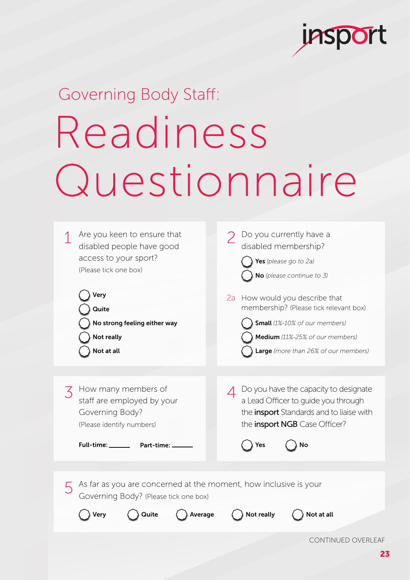

## Governing Body Staff: Readiness Questionnaire



CONTINUED OVERLEAF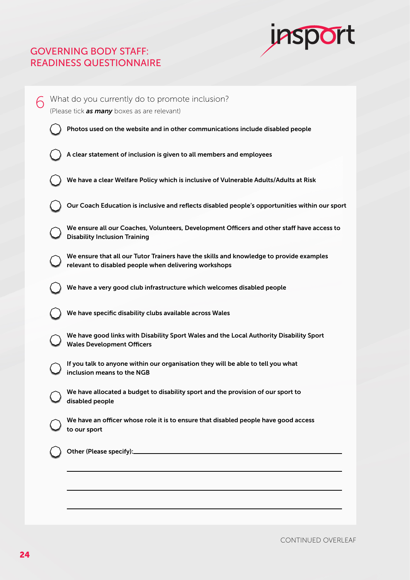## GOVERNING BODY STAFF: READINESS QUESTIONNAIRE



| ∕ | What do you currently do to promote inclusion?<br>(Please tick as many boxes as are relevant) |                                                                                                                                                  |  |
|---|-----------------------------------------------------------------------------------------------|--------------------------------------------------------------------------------------------------------------------------------------------------|--|
|   |                                                                                               | Photos used on the website and in other communications include disabled people                                                                   |  |
|   |                                                                                               | A clear statement of inclusion is given to all members and employees                                                                             |  |
|   |                                                                                               | We have a clear Welfare Policy which is inclusive of Vulnerable Adults/Adults at Risk                                                            |  |
|   |                                                                                               | Our Coach Education is inclusive and reflects disabled people's opportunities within our sport                                                   |  |
|   |                                                                                               | We ensure all our Coaches, Volunteers, Development Officers and other staff have access to<br><b>Disability Inclusion Training</b>               |  |
|   |                                                                                               | We ensure that all our Tutor Trainers have the skills and knowledge to provide examples<br>relevant to disabled people when delivering workshops |  |
|   |                                                                                               | We have a very good club infrastructure which welcomes disabled people                                                                           |  |
|   |                                                                                               | We have specific disability clubs available across Wales                                                                                         |  |
|   |                                                                                               | We have good links with Disability Sport Wales and the Local Authority Disability Sport<br><b>Wales Development Officers</b>                     |  |
|   |                                                                                               | If you talk to anyone within our organisation they will be able to tell you what<br>inclusion means to the NGB                                   |  |
|   |                                                                                               | We have allocated a budget to disability sport and the provision of our sport to<br>disabled people                                              |  |
|   |                                                                                               | We have an officer whose role it is to ensure that disabled people have good access<br>to our sport                                              |  |
|   |                                                                                               |                                                                                                                                                  |  |
|   |                                                                                               |                                                                                                                                                  |  |
|   |                                                                                               |                                                                                                                                                  |  |

CONTINUED OVERLEAF